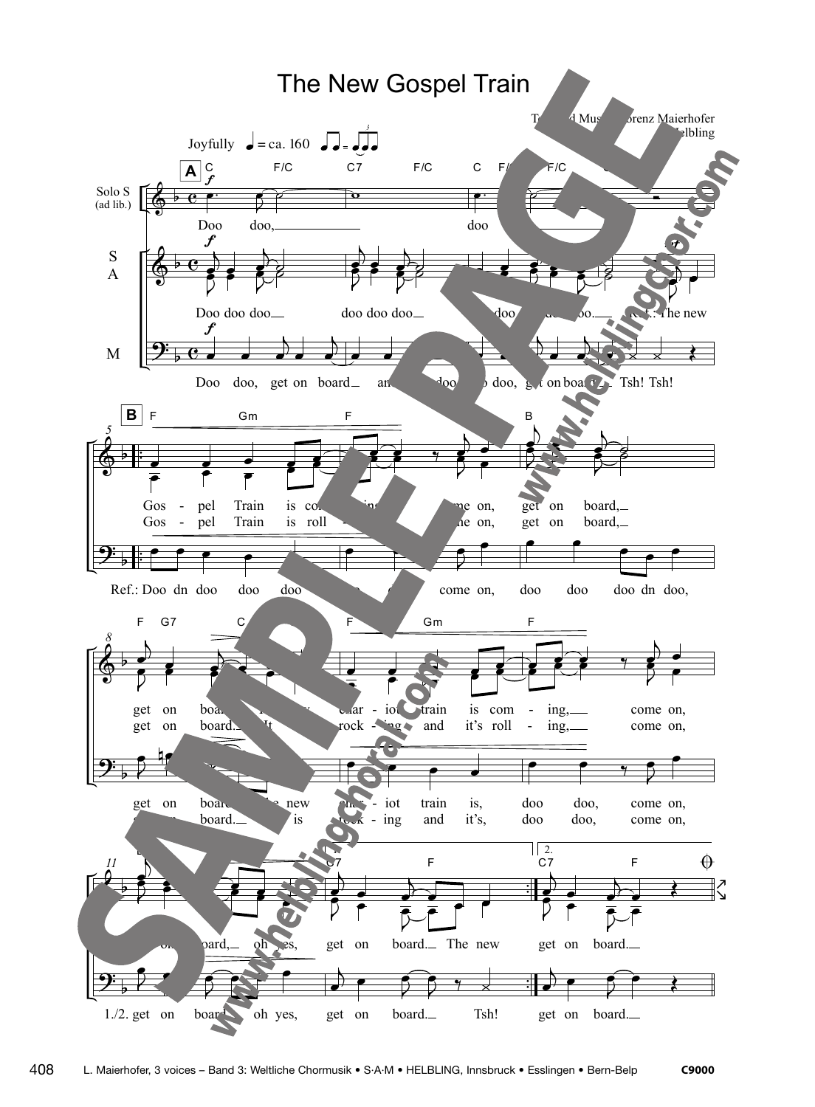